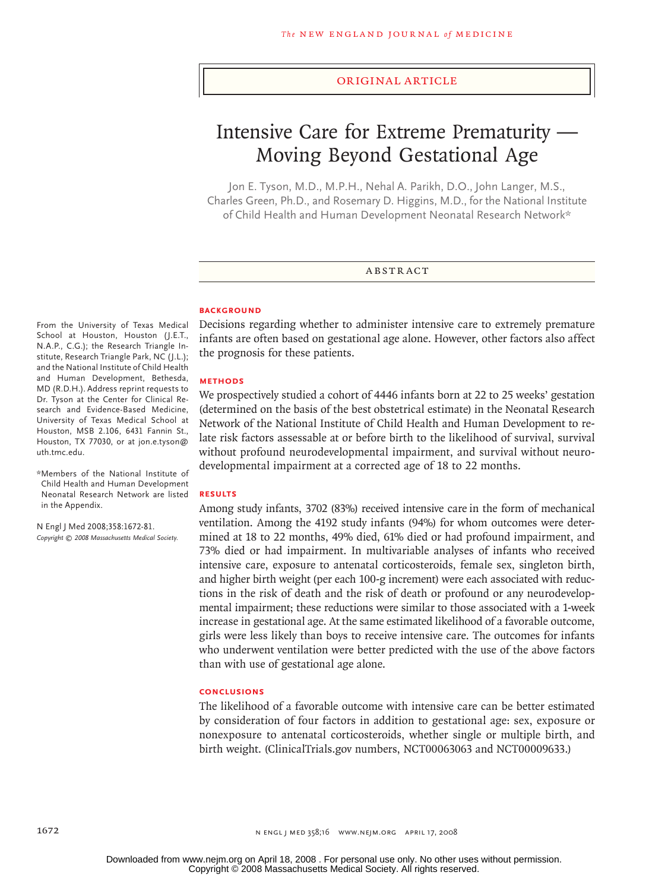#### original article

# Intensive Care for Extreme Prematurity — Moving Beyond Gestational Age

Jon E. Tyson, M.D., M.P.H., Nehal A. Parikh, D.O., John Langer, M.S., Charles Green, Ph.D., and Rosemary D. Higgins, M.D., for the National Institute of Child Health and Human Development Neonatal Research Network\*

#### **ABSTRACT**

#### **BACKGROUND**

From the University of Texas Medical School at Houston, Houston (J.E.T., N.A.P., C.G.); the Research Triangle Institute, Research Triangle Park, NC (J.L.); and the National Institute of Child Health and Human Development, Bethesda, MD (R.D.H.). Address reprint requests to Dr. Tyson at the Center for Clinical Research and Evidence-Based Medicine, University of Texas Medical School at Houston, MSB 2.106, 6431 Fannin St., Houston, TX 77030, or at jon.e.tyson@ uth.tmc.edu.

\*Members of the National Institute of Child Health and Human Development Neonatal Research Network are listed in the Appendix.

N Engl J Med 2008;358:1672-81. *Copyright © 2008 Massachusetts Medical Society.* Decisions regarding whether to administer intensive care to extremely premature infants are often based on gestational age alone. However, other factors also affect the prognosis for these patients.

#### **Methods**

We prospectively studied a cohort of 4446 infants born at 22 to 25 weeks' gestation (determined on the basis of the best obstetrical estimate) in the Neonatal Research Network of the National Institute of Child Health and Human Development to relate risk factors assessable at or before birth to the likelihood of survival, survival without profound neurodevelopmental impairment, and survival without neurodevelopmental impairment at a corrected age of 18 to 22 months.

#### **Results**

Among study infants, 3702 (83%) received intensive care in the form of mechanical ventilation. Among the 4192 study infants (94%) for whom outcomes were determined at 18 to 22 months, 49% died, 61% died or had profound impairment, and 73% died or had impairment. In multivariable analyses of infants who received intensive care, exposure to antenatal corticosteroids, female sex, singleton birth, and higher birth weight (per each 100-g increment) were each associated with reductions in the risk of death and the risk of death or profound or any neurodevelopmental impairment; these reductions were similar to those associated with a 1-week increase in gestational age. At the same estimated likelihood of a favorable outcome, girls were less likely than boys to receive intensive care. The outcomes for infants who underwent ventilation were better predicted with the use of the above factors than with use of gestational age alone.

#### **Conclusions**

The likelihood of a favorable outcome with intensive care can be better estimated by consideration of four factors in addition to gestational age: sex, exposure or nonexposure to antenatal corticosteroids, whether single or multiple birth, and birth weight. (ClinicalTrials.gov numbers, NCT00063063 and NCT00009633.)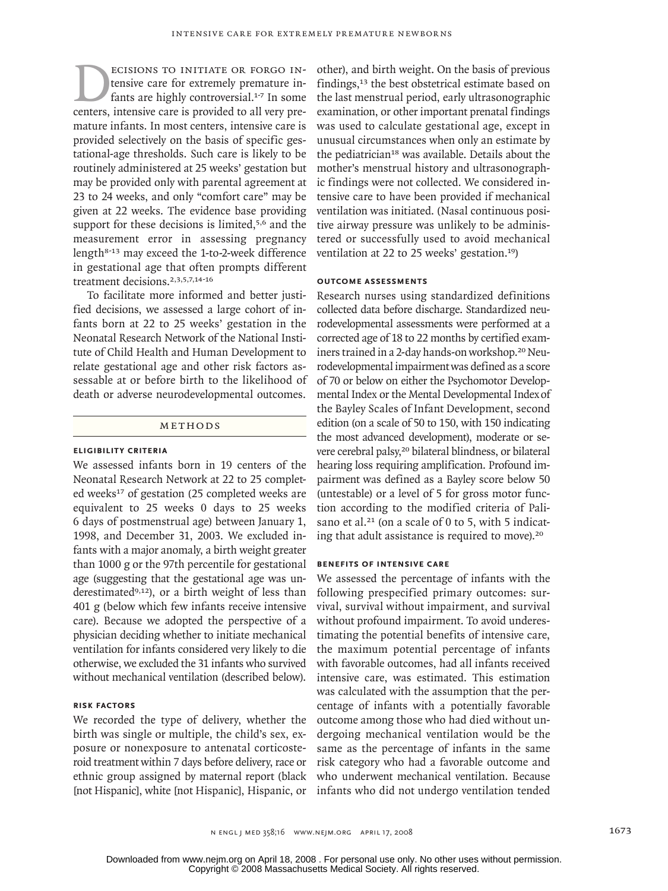**ECISIONS TO INITIATE OR FORGO IN-**<br>
fants are highly controversial.<sup>1-7</sup> In some<br>
centers, intensive care is provided to all very pretensive care for extremely premature infants are highly controversial.<sup>1-7</sup> In some mature infants. In most centers, intensive care is provided selectively on the basis of specific gestational-age thresholds. Such care is likely to be routinely administered at 25 weeks' gestation but may be provided only with parental agreement at 23 to 24 weeks, and only "comfort care" may be given at 22 weeks. The evidence base providing support for these decisions is limited,<sup>5,6</sup> and the measurement error in assessing pregnancy length<sup>8-13</sup> may exceed the 1-to-2-week difference in gestational age that often prompts different treatment decisions.2,3,5,7,14-16

To facilitate more informed and better justified decisions, we assessed a large cohort of infants born at 22 to 25 weeks' gestation in the Neonatal Research Network of the National Institute of Child Health and Human Development to relate gestational age and other risk factors assessable at or before birth to the likelihood of death or adverse neurodevelopmental outcomes.

# METHODS

### **Eligibility Criteria**

We assessed infants born in 19 centers of the Neonatal Research Network at 22 to 25 completed weeks<sup>17</sup> of gestation (25 completed weeks are equivalent to 25 weeks 0 days to 25 weeks 6 days of postmenstrual age) between January 1, 1998, and December 31, 2003. We excluded infants with a major anomaly, a birth weight greater than 1000 g or the 97th percentile for gestational age (suggesting that the gestational age was underestimated<sup>9,12</sup>), or a birth weight of less than 401 g (below which few infants receive intensive care). Because we adopted the perspective of a physician deciding whether to initiate mechanical ventilation for infants considered very likely to die otherwise, we excluded the 31 infants who survived without mechanical ventilation (described below).

## **Risk Factors**

We recorded the type of delivery, whether the birth was single or multiple, the child's sex, exposure or nonexposure to antenatal corticosteroid treatment within 7 days before delivery, race or ethnic group assigned by maternal report (black [not Hispanic], white [not Hispanic], Hispanic, or other), and birth weight. On the basis of previous findings,13 the best obstetrical estimate based on the last menstrual period, early ultrasonographic examination, or other important prenatal findings was used to calculate gestational age, except in unusual circumstances when only an estimate by the pediatrician<sup>18</sup> was available. Details about the mother's menstrual history and ultrasonographic findings were not collected. We considered intensive care to have been provided if mechanical ventilation was initiated. (Nasal continuous positive airway pressure was unlikely to be administered or successfully used to avoid mechanical ventilation at 22 to 25 weeks' gestation.19)

# **Outcome Assessments**

Research nurses using standardized definitions collected data before discharge. Standardized neurodevelopmental assessments were performed at a corrected age of 18 to 22 months by certified examiners trained in a 2-day hands-on workshop.<sup>20</sup> Neurodevelopmental impairment was defined as a score of 70 or below on either the Psychomotor Developmental Index or the Mental Developmental Indexof the Bayley Scales of Infant Development, second edition (on a scale of 50 to 150, with 150 indicating the most advanced development), moderate or severe cerebral palsy,<sup>20</sup> bilateral blindness, or bilateral hearing loss requiring amplification. Profound impairment was defined as a Bayley score below 50 (untestable) or a level of 5 for gross motor function according to the modified criteria of Palisano et al.<sup>21</sup> (on a scale of 0 to 5, with 5 indicating that adult assistance is required to move).<sup>20</sup>

## **Benefits of Intensive Care**

We assessed the percentage of infants with the following prespecified primary outcomes: survival, survival without impairment, and survival without profound impairment. To avoid underestimating the potential benefits of intensive care, the maximum potential percentage of infants with favorable outcomes, had all infants received intensive care, was estimated. This estimation was calculated with the assumption that the percentage of infants with a potentially favorable outcome among those who had died without undergoing mechanical ventilation would be the same as the percentage of infants in the same risk category who had a favorable outcome and who underwent mechanical ventilation. Because infants who did not undergo ventilation tended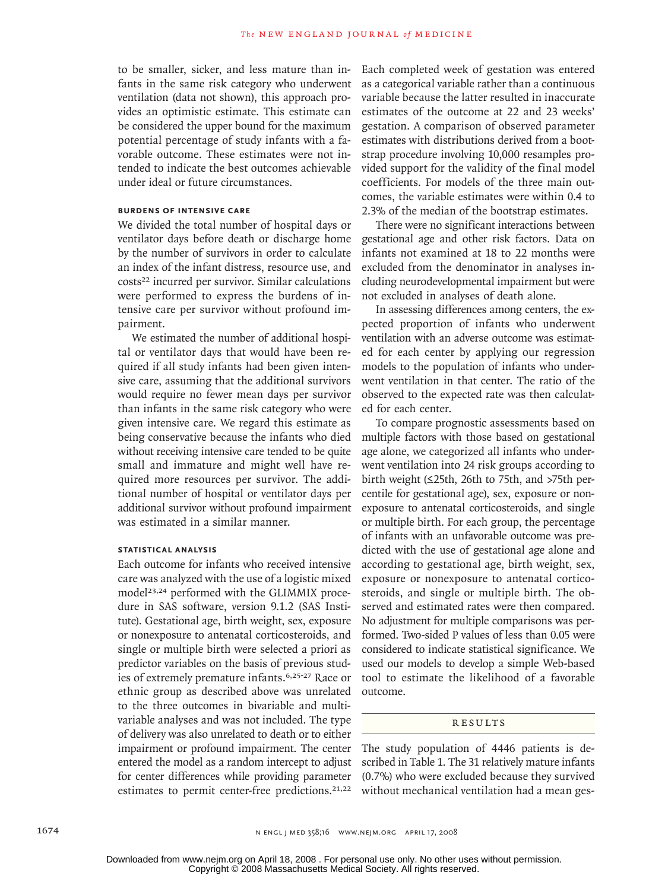to be smaller, sicker, and less mature than infants in the same risk category who underwent ventilation (data not shown), this approach provides an optimistic estimate. This estimate can be considered the upper bound for the maximum potential percentage of study infants with a favorable outcome. These estimates were not intended to indicate the best outcomes achievable under ideal or future circumstances.

# **Burdens of Intensive Care**

We divided the total number of hospital days or ventilator days before death or discharge home by the number of survivors in order to calculate an index of the infant distress, resource use, and costs<sup>22</sup> incurred per survivor. Similar calculations were performed to express the burdens of intensive care per survivor without profound impairment.

We estimated the number of additional hospital or ventilator days that would have been required if all study infants had been given intensive care, assuming that the additional survivors would require no fewer mean days per survivor than infants in the same risk category who were given intensive care. We regard this estimate as being conservative because the infants who died without receiving intensive care tended to be quite small and immature and might well have required more resources per survivor. The additional number of hospital or ventilator days per additional survivor without profound impairment was estimated in a similar manner.

#### **Statistical Analysis**

Each outcome for infants who received intensive care was analyzed with the use of a logistic mixed model<sup>23,24</sup> performed with the GLIMMIX procedure in SAS software, version 9.1.2 (SAS Institute). Gestational age, birth weight, sex, exposure or nonexposure to antenatal corticosteroids, and single or multiple birth were selected a priori as predictor variables on the basis of previous studies of extremely premature infants.6,25-27 Race or ethnic group as described above was unrelated to the three outcomes in bivariable and multivariable analyses and was not included. The type of delivery was also unrelated to death or to either impairment or profound impairment. The center entered the model as a random intercept to adjust for center differences while providing parameter estimates to permit center-free predictions.<sup>21,22</sup>

Each completed week of gestation was entered as a categorical variable rather than a continuous variable because the latter resulted in inaccurate estimates of the outcome at 22 and 23 weeks' gestation. A comparison of observed parameter estimates with distributions derived from a bootstrap procedure involving 10,000 resamples provided support for the validity of the final model coefficients. For models of the three main outcomes, the variable estimates were within 0.4 to 2.3% of the median of the bootstrap estimates.

There were no significant interactions between gestational age and other risk factors. Data on infants not examined at 18 to 22 months were excluded from the denominator in analyses including neurodevelopmental impairment but were not excluded in analyses of death alone.

In assessing differences among centers, the expected proportion of infants who underwent ventilation with an adverse outcome was estimated for each center by applying our regression models to the population of infants who underwent ventilation in that center. The ratio of the observed to the expected rate was then calculated for each center.

To compare prognostic assessments based on multiple factors with those based on gestational age alone, we categorized all infants who underwent ventilation into 24 risk groups according to birth weight (≤25th, 26th to 75th, and >75th percentile for gestational age), sex, exposure or nonexposure to antenatal corticosteroids, and single or multiple birth. For each group, the percentage of infants with an unfavorable outcome was predicted with the use of gestational age alone and according to gestational age, birth weight, sex, exposure or nonexposure to antenatal corticosteroids, and single or multiple birth. The observed and estimated rates were then compared. No adjustment for multiple comparisons was performed. Two-sided P values of less than 0.05 were considered to indicate statistical significance. We used our models to develop a simple Web-based tool to estimate the likelihood of a favorable outcome.

# **RESULTS**

The study population of 4446 patients is described in Table 1. The 31 relatively mature infants (0.7%) who were excluded because they survived without mechanical ventilation had a mean ges-

Copyright © 2008 Massachusetts Medical Society. All rights reserved. Downloaded from www.nejm.org on April 18, 2008 . For personal use only. No other uses without permission.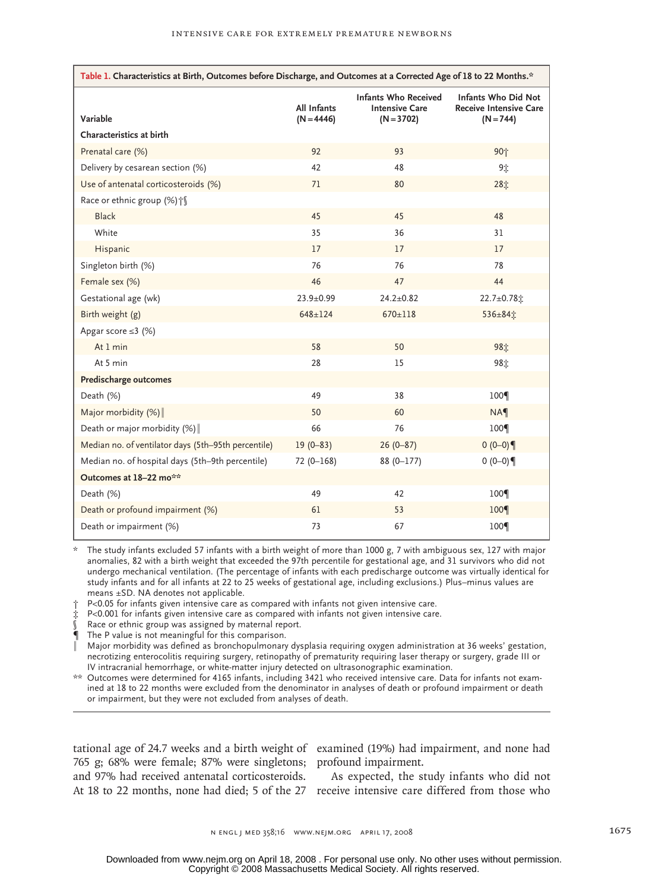| Table 1. Characteristics at Birth, Outcomes before Discharge, and Outcomes at a Corrected Age of 18 to 22 Months.* |                                    |                                                                      |                                                                     |  |
|--------------------------------------------------------------------------------------------------------------------|------------------------------------|----------------------------------------------------------------------|---------------------------------------------------------------------|--|
| Variable                                                                                                           | <b>All Infants</b><br>$(N = 4446)$ | <b>Infants Who Received</b><br><b>Intensive Care</b><br>$(N = 3702)$ | Infants Who Did Not<br><b>Receive Intensive Care</b><br>$(N = 744)$ |  |
| Characteristics at birth                                                                                           |                                    |                                                                      |                                                                     |  |
| Prenatal care (%)                                                                                                  | 92                                 | 93                                                                   | 90个                                                                 |  |
| Delivery by cesarean section (%)                                                                                   | 42                                 | 48                                                                   | 9立                                                                  |  |
| Use of antenatal corticosteroids (%)                                                                               | 71                                 | 80                                                                   | 28立                                                                 |  |
| Race or ethnic group (%) is                                                                                        |                                    |                                                                      |                                                                     |  |
| <b>Black</b>                                                                                                       | 45                                 | 45                                                                   | 48                                                                  |  |
| White                                                                                                              | 35                                 | 36                                                                   | 31                                                                  |  |
| Hispanic                                                                                                           | 17                                 | 17                                                                   | 17                                                                  |  |
| Singleton birth (%)                                                                                                | 76                                 | 76                                                                   | 78                                                                  |  |
| Female sex (%)                                                                                                     | 46                                 | 47                                                                   | 44                                                                  |  |
| Gestational age (wk)                                                                                               | $23.9 \pm 0.99$                    | $24.2 \pm 0.82$                                                      | 22.7±0.78%                                                          |  |
| Birth weight (g)                                                                                                   | $648 \pm 124$                      | $670 \pm 118$                                                        | 536±84±                                                             |  |
| Apgar score $\leq$ 3 (%)                                                                                           |                                    |                                                                      |                                                                     |  |
| At 1 min                                                                                                           | 58                                 | 50                                                                   | 98立                                                                 |  |
| At 5 min                                                                                                           | 28                                 | 15                                                                   | 98章                                                                 |  |
| <b>Predischarge outcomes</b>                                                                                       |                                    |                                                                      |                                                                     |  |
| Death (%)                                                                                                          | 49                                 | 38                                                                   | 100 <sup>q</sup>                                                    |  |
| Major morbidity $(%)$                                                                                              | 50                                 | 60                                                                   | <b>NA</b>                                                           |  |
| Death or major morbidity (%)                                                                                       | 66                                 | 76                                                                   | 100 <sup></sup>                                                     |  |
| Median no. of ventilator days (5th-95th percentile)                                                                | $19(0 - 83)$                       | $26(0-87)$                                                           | $0(0-0)$                                                            |  |
| Median no. of hospital days (5th-9th percentile)                                                                   | $72(0-168)$                        | $88(0 - 177)$                                                        | $0(0-0)$                                                            |  |
| Outcomes at 18-22 mo**                                                                                             |                                    |                                                                      |                                                                     |  |
| Death (%)                                                                                                          | 49                                 | 42                                                                   | 100 <sup></sup>                                                     |  |
| Death or profound impairment (%)                                                                                   | 61                                 | 53                                                                   | 100 <sup></sup>                                                     |  |
| Death or impairment (%)                                                                                            | 73                                 | 67                                                                   | 100 <sup>-</sup>                                                    |  |

\* The study infants excluded 57 infants with a birth weight of more than 1000 g, 7 with ambiguous sex, 127 with major anomalies, 82 with a birth weight that exceeded the 97th percentile for gestational age, and 31 survivors who did not undergo mechanical ventilation. (The percentage of infants with each predischarge outcome was virtually identical for study infants and for all infants at 22 to 25 weeks of gestational age, including exclusions.) Plus–minus values are means ±SD. NA denotes not applicable.

† P<0.05 for infants given intensive care as compared with infants not given intensive care.

‡ P<0.001 for infants given intensive care as compared with infants not given intensive care.

Race or ethnic group was assigned by maternal report.

The P value is not meaningful for this comparison.

‖ Major morbidity was defined as bronchopulmonary dysplasia requiring oxygen administration at 36 weeks' gestation, necrotizing enterocolitis requiring surgery, retinopathy of prematurity requiring laser therapy or surgery, grade III or IV intracranial hemorrhage, or white-matter injury detected on ultrasonographic examination.

\*\* Outcomes were determined for 4165 infants, including 3421 who received intensive care. Data for infants not examined at 18 to 22 months were excluded from the denominator in analyses of death or profound impairment or death or impairment, but they were not excluded from analyses of death.

765 g; 68% were female; 87% were singletons; profound impairment. and 97% had received antenatal corticosteroids.

tational age of 24.7 weeks and a birth weight of examined (19%) had impairment, and none had

At 18 to 22 months, none had died; 5 of the 27 receive intensive care differed from those who As expected, the study infants who did not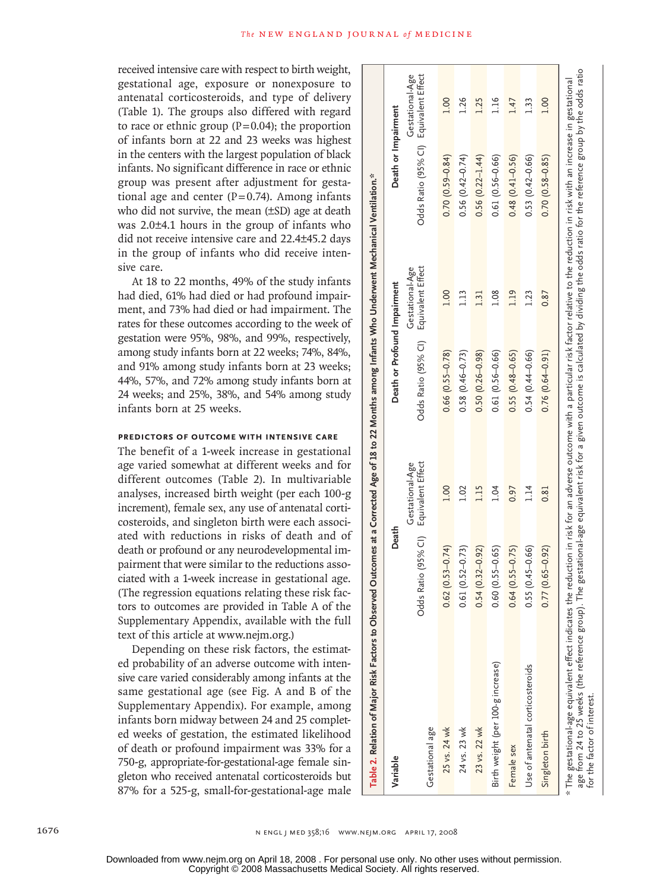received intensive care with respect to birth weight, gestational age, exposure or nonexposure to antenatal corticosteroids, and type of delivery (Table 1). The groups also differed with regard to race or ethnic group  $(P=0.04)$ ; the proportion of infants born at 22 and 23 weeks was highest in the centers with the largest population of black infants. No significant difference in race or ethnic group was present after adjustment for gestational age and center  $(P=0.74)$ . Among infants who did not survive, the mean (±SD) age at death was 2.0±4.1 hours in the group of infants who did not receive intensive care and 22.4±45.2 days in the group of infants who did receive intensive care.

At 18 to 22 months, 49% of the study infants had died, 61% had died or had profound impairment, and 73% had died or had impairment. The rates for these outcomes according to the week of gestation were 95%, 98%, and 99%, respectively, among study infants born at 22 weeks; 74%, 84%, and 91% among study infants born at 23 weeks; 44%, 57%, and 72% among study infants born at 24 weeks; and 25%, 38%, and 54% among study infants born at 25 weeks.

# **Predictors of Outcome with Intensive Care**

The benefit of a 1-week increase in gestational age varied somewhat at different weeks and for different outcomes (Table 2). In multivariable analyses, increased birth weight (per each 100-g increment), female sex, any use of antenatal corticosteroids, and singleton birth were each associated with reductions in risks of death and of death or profound or any neurodevelopmental impairment that were similar to the reductions associated with a 1-week increase in gestational age. (The regression equations relating these risk factors to outcomes are provided in Table A of the Supplementary Appendix, available with the full text of this article at www.nejm.org.)

Depending on these risk factors, the estimated probability of an adverse outcome with intensive care varied considerably among infants at the same gestational age (see Fig. A and B of the Supplementary Appendix). For example, among infants born midway between 24 and 25 completed weeks of gestation, the estimated likelihood of death or profound impairment was 33% for a 750-g, appropriate-for-gestational-age female singleton who received antenatal corticosteroids but 87% for a 525-g, small-for-gestational-age male

| Table 2. Relation of Major Risk Factors to Observed Outcomes at a Corrected Age of 18 to 22 Months among Infants Who Underwent Mechanical Ventilation."                                                                                                                                                                                                                                                                    |                     |                                                     |                              |                                      |                                       |                 |
|----------------------------------------------------------------------------------------------------------------------------------------------------------------------------------------------------------------------------------------------------------------------------------------------------------------------------------------------------------------------------------------------------------------------------|---------------------|-----------------------------------------------------|------------------------------|--------------------------------------|---------------------------------------|-----------------|
| Variable                                                                                                                                                                                                                                                                                                                                                                                                                   | Death               |                                                     | Death or Profound Impairment |                                      | Death or Impairment                   |                 |
| Gestational age                                                                                                                                                                                                                                                                                                                                                                                                            | Odds                | Ratio (95% CI) Equivalent Effect<br>Gestational-Age | Odds Ratio (95% Cl)          | Equivalent Effect<br>Gestational-Age | Odds Ratio (95% CI) Equivalent Effect | Gestational-Age |
| 25 vs. 24 wk                                                                                                                                                                                                                                                                                                                                                                                                               | $0.62(0.53 - 0.74)$ | 1.00                                                | $0.66$ $(0.55 - 0.78)$       | 1.00                                 | $0.70(0.59 - 0.84)$                   | 1.00            |
| 24 vs. 23 wk                                                                                                                                                                                                                                                                                                                                                                                                               | $0.61(0.52 - 0.73)$ | 1.02                                                | $0.58(0.46 - 0.73)$          | 1.13                                 | $0.56(0.42 - 0.74)$                   | 1.26            |
| 23 vs. 22 wk                                                                                                                                                                                                                                                                                                                                                                                                               | $0.54(0.32 - 0.92)$ | 1.15                                                | $0.50(0.26 - 0.98)$          | 1.31                                 | $0.56(0.22 - 1.44)$                   | 1.25            |
| Birth weight (per 100-g increase)                                                                                                                                                                                                                                                                                                                                                                                          | $0.60(0.55 - 0.65)$ | 1.04                                                | $0.61(0.56 - 0.66)$          | 1.08                                 | $0.61(0.56 - 0.66)$                   | 1.16            |
| Female sex                                                                                                                                                                                                                                                                                                                                                                                                                 | $0.64(0.55 - 0.75)$ | 0.97                                                | $0.55(0.48 - 0.65)$          | 1.19                                 | $0.48(0.41 - 0.56)$                   | 1.47            |
| Use of antenatal corticosteroids                                                                                                                                                                                                                                                                                                                                                                                           | $0.55(0.45 - 0.66)$ | 1.14                                                | $0.54(0.44 - 0.66)$          | 1.23                                 | $0.53(0.42 - 0.66)$                   | 1.33            |
| Singleton birth                                                                                                                                                                                                                                                                                                                                                                                                            | $0.77(0.65 - 0.92)$ | 0.81                                                | $0.76(0.64 - 0.91)$          | 0.87                                 | $0.70(0.58 - 0.85)$                   | 1.00            |
| age from 24 to 25 weeks (the reference group). The gestational-age equivalent risk for a given outcome is calculated by dividing the odds ratio for the reference group by the odds ratio<br>* The gestational-age equivalent effect indicates the reduction in risk for an adverse outcome with a particular risk factor relative to the reduction in risk with an increase in gestational<br>for the factor of interest. |                     |                                                     |                              |                                      |                                       |                 |

Copyright © 2008 Massachusetts Medical Society. All rights reserved. Downloaded from www.nejm.org on April 18, 2008 . For personal use only. No other uses without permission.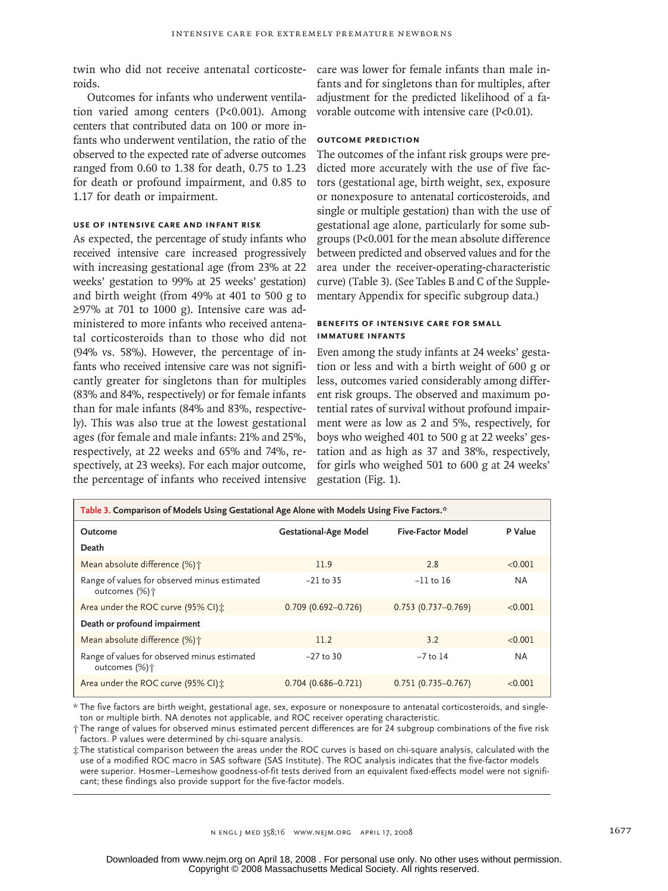twin who did not receive antenatal corticosteroids.

Outcomes for infants who underwent ventilation varied among centers (P<0.001). Among centers that contributed data on 100 or more infants who underwent ventilation, the ratio of the observed to the expected rate of adverse outcomes ranged from 0.60 to 1.38 for death, 0.75 to 1.23 for death or profound impairment, and 0.85 to 1.17 for death or impairment.

# **Use of Intensive Care and Infant Risk**

As expected, the percentage of study infants who received intensive care increased progressively with increasing gestational age (from 23% at 22 weeks' gestation to 99% at 25 weeks' gestation) and birth weight (from 49% at 401 to 500 g to ≥97% at 701 to 1000 g). Intensive care was administered to more infants who received antenatal corticosteroids than to those who did not (94% vs. 58%). However, the percentage of infants who received intensive care was not significantly greater for singletons than for multiples (83% and 84%, respectively) or for female infants than for male infants (84% and 83%, respectively). This was also true at the lowest gestational ages (for female and male infants: 21% and 25%, respectively, at 22 weeks and 65% and 74%, respectively, at 23 weeks). For each major outcome, the percentage of infants who received intensive

care was lower for female infants than male infants and for singletons than for multiples, after adjustment for the predicted likelihood of a favorable outcome with intensive care (P<0.01).

## **Outcome Prediction**

The outcomes of the infant risk groups were predicted more accurately with the use of five factors (gestational age, birth weight, sex, exposure or nonexposure to antenatal corticosteroids, and single or multiple gestation) than with the use of gestational age alone, particularly for some subgroups (P<0.001 for the mean absolute difference between predicted and observed values and for the area under the receiver-operating-characteristic curve) (Table 3). (See Tables B and C of the Supplementary Appendix for specific subgroup data.)

# **Benefits of Intensive Care for Small Immature Infants**

Even among the study infants at 24 weeks' gestation or less and with a birth weight of 600 g or less, outcomes varied considerably among different risk groups. The observed and maximum potential rates of survival without profound impairment were as low as 2 and 5%, respectively, for boys who weighed 401 to 500 g at 22 weeks' gestation and as high as 37 and 38%, respectively, for girls who weighed 501 to 600 g at 24 weeks' gestation (Fig. 1).

| Table 3. Comparison of Models Using Gestational Age Alone with Models Using Five Factors.* |                              |                          |         |  |  |
|--------------------------------------------------------------------------------------------|------------------------------|--------------------------|---------|--|--|
| Outcome                                                                                    | <b>Gestational-Age Model</b> | <b>Five-Factor Model</b> | P Value |  |  |
| Death                                                                                      |                              |                          |         |  |  |
| Mean absolute difference (%) +                                                             | 11.9                         | 2.8                      | < 0.001 |  |  |
| Range of values for observed minus estimated<br>outcomes (%) <sup>+</sup>                  | $-21$ to 35                  | $-11$ to 16              | NA.     |  |  |
| Area under the ROC curve (95% CI):                                                         | $0.709$ (0.692-0.726)        | $0.753(0.737 - 0.769)$   | < 0.001 |  |  |
| Death or profound impairment                                                               |                              |                          |         |  |  |
| Mean absolute difference (%) +                                                             | 11.2                         | 3.2                      | < 0.001 |  |  |
| Range of values for observed minus estimated<br>outcomes (%)†                              | $-27$ to 30                  | $-7$ to 14               | NA.     |  |  |
| Area under the ROC curve (95% CI):                                                         | $0.704(0.686 - 0.721)$       | $0.751(0.735 - 0.767)$   | < 0.001 |  |  |

\* The five factors are birth weight, gestational age, sex, exposure or nonexposure to antenatal corticosteroids, and singleton or multiple birth. NA denotes not applicable, and ROC receiver operating characteristic.

† The range of values for observed minus estimated percent differences are for 24 subgroup combinations of the five risk factors. P values were determined by chi-square analysis.

‡ The statistical comparison between the areas under the ROC curves is based on chi-square analysis, calculated with the use of a modified ROC macro in SAS software (SAS Institute). The ROC analysis indicates that the five-factor models were superior. Hosmer–Lemeshow goodness-of-fit tests derived from an equivalent fixed-effects model were not significant; these findings also provide support for the five-factor models.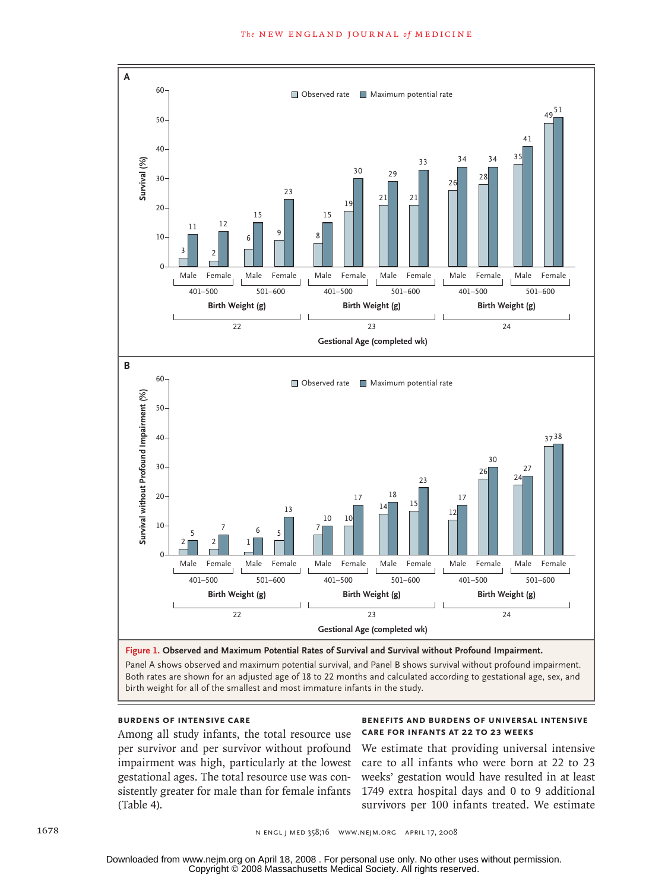

birth weight for all of the smallest and most immature infants in the study. FIGURE: 1 of 1

REG F

# **Burdens of Intensive Care**

Among all study infants, the total resource use per survivor and per survivor without profound impairment was high, particularly at the lowest gestational ages. The total resource use was consistently greater for male than for female infants (Table 4). total resource

#### **BENEFITS AND BURDENS OF UNIVERSAL INTENSIVE CARE FOR INFANTS AT 22 TO 23 WEEKS** EMail Line of the BEST STATE STATE STATE STATE STATE STATE STATE STATE STATE STATE STATE STATE STATE STATE STA<br>Except State State State State State State State State State State State State State State State State State S

3rd

We estimate that providing universal intensive ly at the lowest care to all infants who were born at 22 to 23 s con- weeks' gestation would have resulted in at least 1749 extra hospital days and 0 to 9 additional survivors per 100 infants treated. We estimate

Copyright © 2008 Massachusetts Medical Society. All rights reserved. Downloaded from www.nejm.org on April 18, 2008 . For personal use only. No other uses without permission.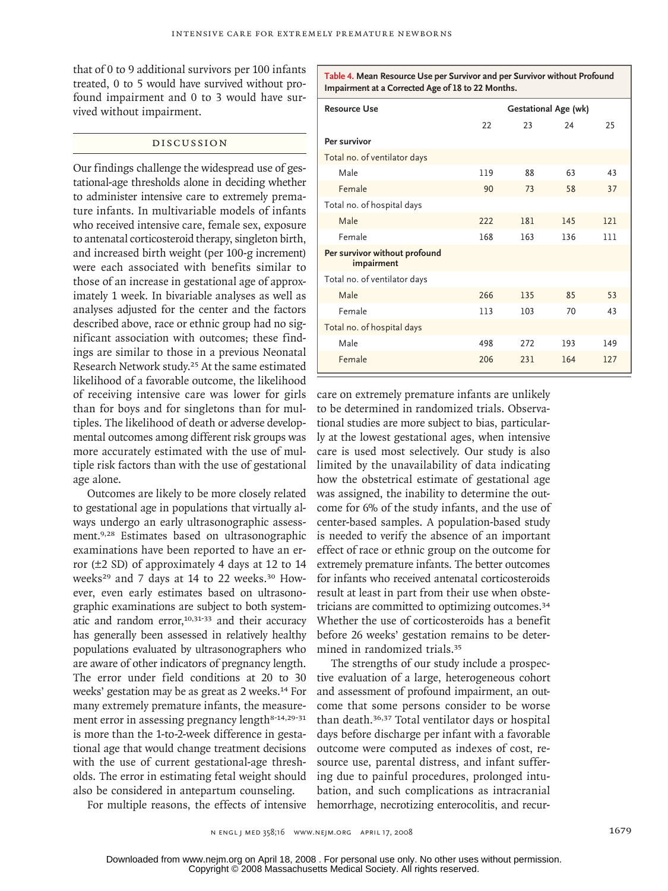that of 0 to 9 additional survivors per 100 infants treated, 0 to 5 would have survived without profound impairment and 0 to 3 would have survived without impairment.

# Discussion

Our findings challenge the widespread use of gestational-age thresholds alone in deciding whether to administer intensive care to extremely premature infants. In multivariable models of infants who received intensive care, female sex, exposure to antenatal corticosteroid therapy, singleton birth, and increased birth weight (per 100-g increment) were each associated with benefits similar to those of an increase in gestational age of approximately 1 week. In bivariable analyses as well as analyses adjusted for the center and the factors described above, race or ethnic group had no significant association with outcomes; these findings are similar to those in a previous Neonatal Research Network study.25 At the same estimated likelihood of a favorable outcome, the likelihood of receiving intensive care was lower for girls than for boys and for singletons than for multiples. The likelihood of death or adverse developmental outcomes among different risk groups was more accurately estimated with the use of multiple risk factors than with the use of gestational age alone.

Outcomes are likely to be more closely related to gestational age in populations that virtually always undergo an early ultrasonographic assessment.9,28 Estimates based on ultrasonographic examinations have been reported to have an error (±2 SD) of approximately 4 days at 12 to 14 weeks<sup>29</sup> and 7 days at 14 to 22 weeks.<sup>30</sup> However, even early estimates based on ultrasonographic examinations are subject to both systematic and random error,<sup>10,31-33</sup> and their accuracy has generally been assessed in relatively healthy populations evaluated by ultrasonographers who are aware of other indicators of pregnancy length. The error under field conditions at 20 to 30 weeks' gestation may be as great as 2 weeks.14 For many extremely premature infants, the measurement error in assessing pregnancy length<sup>8-14,29-31</sup> is more than the 1-to-2-week difference in gestational age that would change treatment decisions with the use of current gestational-age thresholds. The error in estimating fetal weight should also be considered in antepartum counseling.

**Table 4. Mean Resource Use per Survivor and per Survivor without Profound Impairment at a Corrected Age of 18 to 22 Months.**

| <b>Resource Use</b>                         | <b>Gestational Age (wk)</b> |     |     |     |
|---------------------------------------------|-----------------------------|-----|-----|-----|
|                                             | 22                          | 23  | 24  | 25  |
| Per survivor                                |                             |     |     |     |
| Total no. of ventilator days                |                             |     |     |     |
| Male                                        | 119                         | 88  | 63  | 43  |
| Female                                      | 90                          | 73  | 58  | 37  |
| Total no. of hospital days                  |                             |     |     |     |
| Male                                        | 222                         | 181 | 145 | 121 |
| Female                                      | 168                         | 163 | 136 | 111 |
| Per survivor without profound<br>impairment |                             |     |     |     |
| Total no. of ventilator days                |                             |     |     |     |
| Male                                        | 266                         | 135 | 85  | 53  |
| Female                                      | 113                         | 103 | 70  | 43  |
| Total no. of hospital days                  |                             |     |     |     |
| Male                                        | 498                         | 272 | 193 | 149 |
| Female                                      | 206                         | 231 | 164 | 127 |

care on extremely premature infants are unlikely to be determined in randomized trials. Observational studies are more subject to bias, particularly at the lowest gestational ages, when intensive care is used most selectively. Our study is also limited by the unavailability of data indicating how the obstetrical estimate of gestational age was assigned, the inability to determine the outcome for 6% of the study infants, and the use of center-based samples. A population-based study is needed to verify the absence of an important effect of race or ethnic group on the outcome for extremely premature infants. The better outcomes for infants who received antenatal corticosteroids result at least in part from their use when obstetricians are committed to optimizing outcomes.<sup>34</sup> Whether the use of corticosteroids has a benefit before 26 weeks' gestation remains to be determined in randomized trials.<sup>35</sup>

The strengths of our study include a prospective evaluation of a large, heterogeneous cohort and assessment of profound impairment, an outcome that some persons consider to be worse than death.36,37 Total ventilator days or hospital days before discharge per infant with a favorable outcome were computed as indexes of cost, resource use, parental distress, and infant suffering due to painful procedures, prolonged intubation, and such complications as intracranial hemorrhage, necrotizing enterocolitis, and recur-

For multiple reasons, the effects of intensive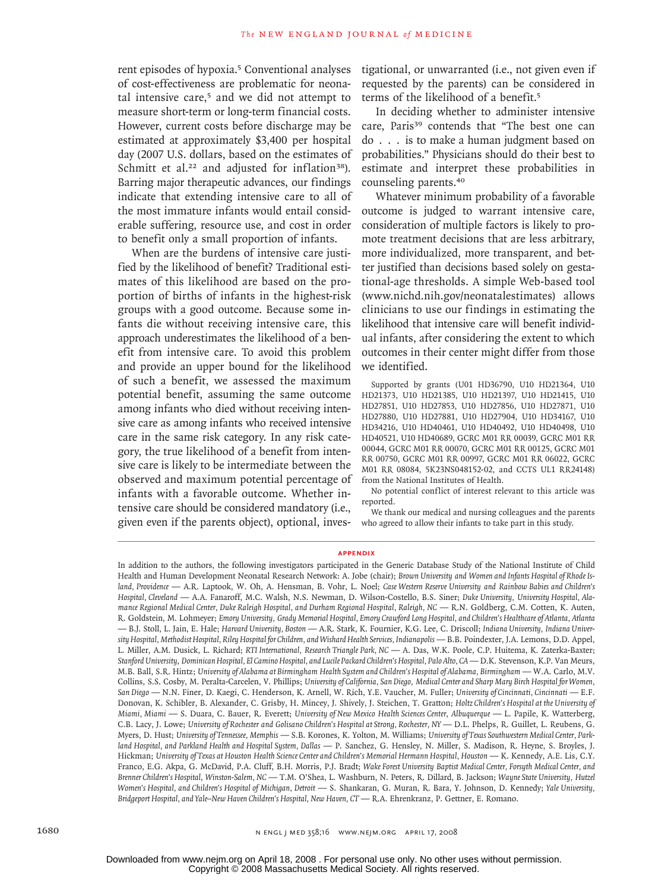rent episodes of hypoxia.<sup>5</sup> Conventional analyses of cost-effectiveness are problematic for neonatal intensive care,5 and we did not attempt to measure short-term or long-term financial costs. However, current costs before discharge may be estimated at approximately \$3,400 per hospital day (2007 U.S. dollars, based on the estimates of Schmitt et al.<sup>22</sup> and adjusted for inflation<sup>38</sup>). Barring major therapeutic advances, our findings indicate that extending intensive care to all of the most immature infants would entail considerable suffering, resource use, and cost in order to benefit only a small proportion of infants.

When are the burdens of intensive care justified by the likelihood of benefit? Traditional estimates of this likelihood are based on the proportion of births of infants in the highest-risk groups with a good outcome. Because some infants die without receiving intensive care, this approach underestimates the likelihood of a benefit from intensive care. To avoid this problem and provide an upper bound for the likelihood of such a benefit, we assessed the maximum potential benefit, assuming the same outcome among infants who died without receiving intensive care as among infants who received intensive care in the same risk category. In any risk category, the true likelihood of a benefit from intensive care is likely to be intermediate between the observed and maximum potential percentage of infants with a favorable outcome. Whether intensive care should be considered mandatory (i.e., given even if the parents object), optional, investigational, or unwarranted (i.e., not given even if requested by the parents) can be considered in terms of the likelihood of a benefit.<sup>5</sup>

In deciding whether to administer intensive care, Paris<sup>39</sup> contends that "The best one can do . . . is to make a human judgment based on probabilities." Physicians should do their best to estimate and interpret these probabilities in counseling parents.<sup>40</sup>

Whatever minimum probability of a favorable outcome is judged to warrant intensive care, consideration of multiple factors is likely to promote treatment decisions that are less arbitrary, more individualized, more transparent, and better justified than decisions based solely on gestational-age thresholds. A simple Web-based tool (www.nichd.nih.gov/neonatalestimates) allows clinicians to use our findings in estimating the likelihood that intensive care will benefit individual infants, after considering the extent to which outcomes in their center might differ from those we identified.

Supported by grants (U01 HD36790, U10 HD21364, U10 HD21373, U10 HD21385, U10 HD21397, U10 HD21415, U10 HD27851, U10 HD27853, U10 HD27856, U10 HD27871, U10 HD27880, U10 HD27881, U10 HD27904, U10 HD34167, U10 HD34216, U10 HD40461, U10 HD40492, U10 HD40498, U10 HD40521, U10 HD40689, GCRC M01 RR 00039, GCRC M01 RR 00044, GCRC M01 RR 00070, GCRC M01 RR 00125, GCRC M01 RR 00750, GCRC M01 RR 00997, GCRC M01 RR 06022, GCRC M01 RR 08084, 5K23NS048152-02, and CCTS UL1 RR24148) from the National Institutes of Health.

No potential conflict of interest relevant to this article was reported.

We thank our medical and nursing colleagues and the parents who agreed to allow their infants to take part in this study.

#### **APPENDIX**

In addition to the authors, the following investigators participated in the Generic Database Study of the National Institute of Child Health and Human Development Neonatal Research Network: A. Jobe (chair); *Brown University and Women and Infants Hospital of Rhode Island, Providence* — A.R. Laptook, W. Oh, A. Hensman, B. Vohr, L. Noel; *Case Western Reserve University and Rainbow Babies and Children's Hospital, Cleveland* — A.A. Fanaroff, M.C. Walsh, N.S. Newman, D. Wilson-Costello, B.S. Siner; *Duke University, University Hospital, Ala*mance Regional Medical Center, Duke Raleigh Hospital, and Durham Regional Hospital, Raleigh, NC - R.N. Goldberg, C.M. Cotten, K. Auten, R. Goldstein, M. Lohmeyer; *Emory University, Grady Memorial Hospital, Emory Crawford Long Hospital, and Children's Healthcare of Atlanta, Atlanta* — B.J. Stoll, L. Jain, E. Hale; *Harvard University, Boston* — A.R. Stark, K. Fournier, K.G. Lee, C. Driscoll; *Indiana University, Indiana University Hospital, Methodist Hospital, Riley Hospital for Children, and Wishard Health Services, Indianapolis* — B.B. Poindexter, J.A. Lemons, D.D. Appel, L. Miller, A.M. Dusick, L. Richard; *RTI International, Research Triangle Park, NC* — A. Das, W.K. Poole, C.P. Huitema, K. Zaterka-Baxter; *Stanford University*, *Dominican Hospital, El Camino Hospital, and Lucile Packard Children's Hospital, Palo Alto, CA* — D.K. Stevenson, K.P. Van Meurs, M.B. Ball, S.R. Hintz; *University of Alabama at Birmingham Health System and Children's Hospital of Alabama, Birmingham* — W.A. Carlo, M.V. Collins, S.S. Cosby, M. Peralta-Carcelen, V. Phillips; *University of California, San Diego, Medical Center and Sharp Mary Birch Hospital for Women, San Diego* — N.N. Finer, D. Kaegi, C. Henderson, K. Arnell, W. Rich, Y.E. Vaucher, M. Fuller; *University of Cincinnati, Cincinnati* — E.F. Donovan, K. Schibler, B. Alexander, C. Grisby, H. Mincey, J. Shively, J. Steichen, T. Gratton; *Holtz Children's Hospital at the University of Miami, Miami* — S. Duara, C. Bauer, R. Everett; *University of New Mexico Health Sciences Center*, *Albuquerque* — L. Papile, K. Watterberg, C.B. Lacy, J. Lowe; *University of Rochester and Golisano Children's Hospital at Strong, Rochester, NY* — D.L. Phelps, R. Guillet, L. Reubens, G. Myers, D. Hust; *University of Tennessee, Memphis* — S.B. Korones, K. Yolton, M. Williams; *University of Texas Southwestern Medical Center, Parkland Hospital, and Parkland Health and Hospital System, Dallas* — P. Sanchez, G. Hensley, N. Miller, S. Madison, R. Heyne, S. Broyles, J. Hickman; *University of Texas at Houston Health Science Center and Children's Memorial Hermann Hospital, Houston* — K. Kennedy, A.E. Lis, C.Y. Franco, E.G. Akpa, G. McDavid, P.A. Cluff, B.H. Morris, P.J. Bradt; *Wake Forest University Baptist Medical Center, Forsyth Medical Center, and Brenner Children's Hospital*, *Winston-Salem, NC* — T.M. O'Shea, L. Washburn, N. Peters, R. Dillard, B. Jackson; *Wayne State University, Hutzel Women's Hospital, and Children's Hospital of Michigan, Detroit* — S. Shankaran, G. Muran, R. Bara, Y. Johnson, D. Kennedy; *Yale University, Bridgeport Hospital, and Yale–New Haven Children's Hospital, New Haven, CT* — R.A. Ehrenkranz, P. Gettner, E. Romano.